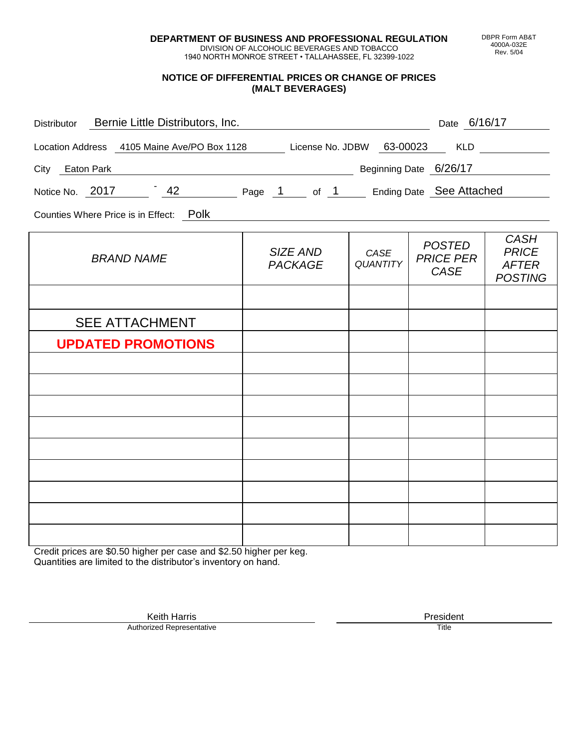**DEPARTMENT OF BUSINESS AND PROFESSIONAL REGULATION** DIVISION OF ALCOHOLIC BEVERAGES AND TOBACCO

1940 NORTH MONROE STREET • TALLAHASSEE, FL 32399-1022

#### **NOTICE OF DIFFERENTIAL PRICES OR CHANGE OF PRICES (MALT BEVERAGES)**

| Distributor Bernie Little Distributors, Inc.                              | <u> 1980 - Johann Barbara, martin din santa da shekara 1980 - An an tsara 1980 - An an tsara 1980 - An an tsara</u> |                         | Date 6/16/17                              |                                                               |
|---------------------------------------------------------------------------|---------------------------------------------------------------------------------------------------------------------|-------------------------|-------------------------------------------|---------------------------------------------------------------|
| Location Address 4105 Maine Ave/PO Box 1128 License No. JDBW 63-00023 KLD |                                                                                                                     |                         |                                           |                                                               |
| Determined by Determine Beginning Date 6/26/17<br>City Eaton Park         |                                                                                                                     |                         |                                           |                                                               |
| Notice No. 2017 42 Page 1 of 1 Ending Date See Attached                   |                                                                                                                     |                         |                                           |                                                               |
| Counties Where Price is in Effect: Polk                                   |                                                                                                                     |                         |                                           |                                                               |
| <b>BRAND NAME</b>                                                         | SIZE AND<br><b>PACKAGE</b>                                                                                          | CASE<br><b>QUANTITY</b> | <b>POSTED</b><br><b>PRICE PER</b><br>CASE | <b>CASH</b><br><b>PRICE</b><br><b>AFTER</b><br><b>POSTING</b> |
|                                                                           |                                                                                                                     |                         |                                           |                                                               |
| <b>SEE ATTACHMENT</b>                                                     |                                                                                                                     |                         |                                           |                                                               |
| <b>UPDATED PROMOTIONS</b>                                                 |                                                                                                                     |                         |                                           |                                                               |
|                                                                           |                                                                                                                     |                         |                                           |                                                               |
|                                                                           |                                                                                                                     |                         |                                           |                                                               |
|                                                                           |                                                                                                                     |                         |                                           |                                                               |
|                                                                           |                                                                                                                     |                         |                                           |                                                               |
|                                                                           |                                                                                                                     |                         |                                           |                                                               |
|                                                                           |                                                                                                                     |                         |                                           |                                                               |
|                                                                           |                                                                                                                     |                         |                                           |                                                               |
|                                                                           |                                                                                                                     |                         |                                           |                                                               |
|                                                                           |                                                                                                                     |                         |                                           |                                                               |

Credit prices are \$0.50 higher per case and \$2.50 higher per keg. Quantities are limited to the distributor's inventory on hand.

> Keith Harris **President** President **President** President **President** President **President** Authorized Representative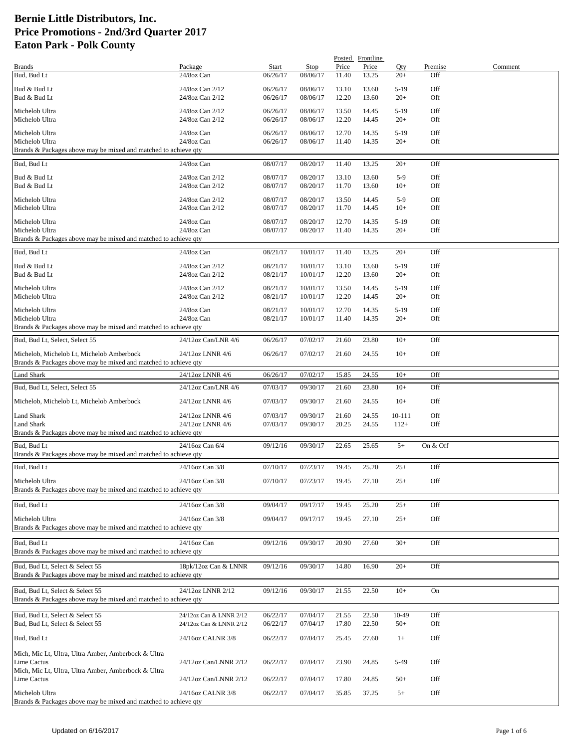|                                                                                                              |                                      |                      |                      |                | Posted Frontline |                  |                |         |
|--------------------------------------------------------------------------------------------------------------|--------------------------------------|----------------------|----------------------|----------------|------------------|------------------|----------------|---------|
| <b>Brands</b><br>Bud, Bud Lt                                                                                 | Package<br>24/8oz Can                | Start<br>06/26/17    | Stop<br>08/06/17     | Price<br>11.40 | Price<br>13.25   | Qty<br>$20+$     | Premise<br>Off | Comment |
| Bud & Bud Lt                                                                                                 | 24/8oz Can 2/12                      | 06/26/17             | 08/06/17             | 13.10          | 13.60            | $5-19$           | Off            |         |
| Bud & Bud Lt                                                                                                 | 24/8oz Can 2/12                      | 06/26/17             | 08/06/17             | 12.20          | 13.60            | $20+$            | Off            |         |
| Michelob Ultra                                                                                               | 24/8oz Can 2/12                      | 06/26/17             | 08/06/17             | 13.50          | 14.45            | $5-19$           | Off            |         |
| Michelob Ultra                                                                                               | 24/8oz Can 2/12                      | 06/26/17             | 08/06/17             | 12.20          | 14.45            | $20+$            | Off            |         |
| Michelob Ultra                                                                                               | 24/8oz Can                           | 06/26/17             | 08/06/17             | 12.70          | 14.35            | $5-19$           | Off            |         |
| Michelob Ultra<br>Brands & Packages above may be mixed and matched to achieve qty                            | 24/8oz Can                           | 06/26/17             | 08/06/17             | 11.40          | 14.35            | $20+$            | Off            |         |
|                                                                                                              |                                      |                      |                      |                |                  |                  |                |         |
| Bud, Bud Lt                                                                                                  | 24/8oz Can                           | 08/07/17             | 08/20/17             | 11.40          | 13.25            | $20+$            | Off            |         |
| Bud & Bud Lt<br>Bud & Bud Lt                                                                                 | 24/8oz Can 2/12<br>24/8oz Can 2/12   | 08/07/17<br>08/07/17 | 08/20/17<br>08/20/17 | 13.10<br>11.70 | 13.60<br>13.60   | $5-9$<br>$10+$   | Off<br>Off     |         |
| Michelob Ultra                                                                                               | 24/8oz Can 2/12                      | 08/07/17             | 08/20/17             | 13.50          |                  | $5-9$            | Off            |         |
| Michelob Ultra                                                                                               | 24/8oz Can 2/12                      | 08/07/17             | 08/20/17             | 11.70          | 14.45<br>14.45   | $10+$            | Off            |         |
| Michelob Ultra                                                                                               | 24/8oz Can                           | 08/07/17             | 08/20/17             | 12.70          | 14.35            | $5-19$           | Off            |         |
| Michelob Ultra                                                                                               | 24/8oz Can                           | 08/07/17             | 08/20/17             | 11.40          | 14.35            | $20+$            | Off            |         |
| Brands & Packages above may be mixed and matched to achieve qty                                              |                                      |                      |                      |                |                  |                  |                |         |
| Bud, Bud Lt                                                                                                  | 24/8oz Can                           | 08/21/17             | 10/01/17             | 11.40          | 13.25            | $20+$            | Off            |         |
| Bud & Bud Lt                                                                                                 | 24/8oz Can 2/12                      | 08/21/17             | 10/01/17             | 13.10          | 13.60            | $5-19$           | Off            |         |
| Bud & Bud Lt                                                                                                 | 24/8oz Can 2/12                      | 08/21/17             | 10/01/17             | 12.20          | 13.60            | $20+$            | Off            |         |
| Michelob Ultra                                                                                               | 24/8oz Can 2/12                      | 08/21/17             | 10/01/17             | 13.50          | 14.45            | $5-19$           | Off            |         |
| Michelob Ultra                                                                                               | 24/8oz Can 2/12                      | 08/21/17             | 10/01/17             | 12.20          | 14.45            | $20+$            | Off            |         |
| Michelob Ultra                                                                                               | 24/8oz Can                           | 08/21/17             | 10/01/17             | 12.70          | 14.35            | $5-19$           | Off            |         |
| Michelob Ultra<br>Brands & Packages above may be mixed and matched to achieve qty                            | 24/8oz Can                           | 08/21/17             | 10/01/17             | 11.40          | 14.35            | $20+$            | Off            |         |
| Bud, Bud Lt, Select, Select 55                                                                               | 24/12oz Can/LNR 4/6                  | 06/26/17             | 07/02/17             | 21.60          | 23.80            | $10+$            | Off            |         |
|                                                                                                              |                                      |                      |                      |                |                  |                  |                |         |
| Michelob, Michelob Lt, Michelob Amberbock<br>Brands & Packages above may be mixed and matched to achieve qty | 24/12oz LNNR 4/6                     | 06/26/17             | 07/02/17             | 21.60          | 24.55            | $10+$            | Off            |         |
| <b>Land Shark</b>                                                                                            | 24/12oz LNNR 4/6                     | 06/26/17             | 07/02/17             | 15.85          | 24.55            | $10+$            | Off            |         |
| Bud, Bud Lt, Select, Select 55                                                                               | 24/12oz Can/LNR 4/6                  | 07/03/17             | 09/30/17             | 21.60          | 23.80            | $10+$            | Off            |         |
|                                                                                                              |                                      |                      |                      |                |                  |                  |                |         |
| Michelob, Michelob Lt, Michelob Amberbock                                                                    | 24/12oz LNNR 4/6                     | 07/03/17             | 09/30/17             | 21.60          | 24.55            | $10+$            | Off            |         |
| Land Shark<br>Land Shark                                                                                     | 24/12oz LNNR 4/6<br>24/12oz LNNR 4/6 | 07/03/17<br>07/03/17 | 09/30/17<br>09/30/17 | 21.60<br>20.25 | 24.55<br>24.55   | 10-111<br>$112+$ | Off<br>Off     |         |
| Brands & Packages above may be mixed and matched to achieve qty                                              |                                      |                      |                      |                |                  |                  |                |         |
| Bud, Bud Lt                                                                                                  | 24/16oz Can 6/4                      | 09/12/16             | 09/30/17             | 22.65          | 25.65            | $5+$             | On & Off       |         |
| Brands & Packages above may be mixed and matched to achieve qty                                              |                                      |                      |                      |                |                  |                  |                |         |
| Bud, Bud Lt                                                                                                  | 24/16oz Can 3/8                      | 07/10/17             | 07/23/17             | 19.45          | 25.20            | $25+$            | Off            |         |
| Michelob Ultra                                                                                               | 24/16oz Can 3/8                      | 07/10/17             | 07/23/17             | 19.45          | 27.10            | $25+$            | Off            |         |
| Brands & Packages above may be mixed and matched to achieve qty                                              |                                      |                      |                      |                |                  |                  |                |         |
| Bud, Bud Lt                                                                                                  | 24/16oz Can 3/8                      | 09/04/17             | 09/17/17             | 19.45          | 25.20            | $25+$            | Off            |         |
| Michelob Ultra                                                                                               | 24/16oz Can 3/8                      | 09/04/17             | 09/17/17             | 19.45          | 27.10            | $25+$            | Off            |         |
| Brands & Packages above may be mixed and matched to achieve qty                                              |                                      |                      |                      |                |                  |                  |                |         |
| Bud, Bud Lt                                                                                                  | 24/16oz Can                          | 09/12/16             | 09/30/17             | 20.90          | 27.60            | $30+$            | Off            |         |
| Brands & Packages above may be mixed and matched to achieve qty                                              |                                      |                      |                      |                |                  |                  |                |         |
| Bud, Bud Lt. Select & Select 55                                                                              | 18pk/12oz Can & LNNR                 | 09/12/16             | 09/30/17             | 14.80          | 16.90            | $20+$            | Off            |         |
| Brands & Packages above may be mixed and matched to achieve qty                                              |                                      |                      |                      |                |                  |                  |                |         |
| Bud, Bud Lt, Select & Select 55                                                                              | 24/12oz LNNR 2/12                    | 09/12/16             | 09/30/17             | 21.55          | 22.50            | $10+$            | On             |         |
| Brands & Packages above may be mixed and matched to achieve qty                                              |                                      |                      |                      |                |                  |                  |                |         |
| Bud, Bud Lt, Select & Select 55                                                                              | 24/12oz Can & LNNR 2/12              | 06/22/17             | 07/04/17             | 21.55          | 22.50            | 10-49            | Off            |         |
| Bud, Bud Lt, Select & Select 55                                                                              | 24/12oz Can & LNNR 2/12              | 06/22/17             | 07/04/17             | 17.80          | 22.50            | $50+$            | Off            |         |
| Bud, Bud Lt                                                                                                  | 24/16oz CALNR 3/8                    | 06/22/17             | 07/04/17             | 25.45          | 27.60            | $1+$             | Off            |         |
|                                                                                                              |                                      |                      |                      |                |                  |                  |                |         |
| Mich, Mic Lt, Ultra, Ultra Amber, Amberbock & Ultra<br>Lime Cactus                                           | 24/12oz Can/LNNR 2/12                | 06/22/17             | 07/04/17             | 23.90          | 24.85            | 5-49             | Off            |         |
| Mich, Mic Lt, Ultra, Ultra Amber, Amberbock & Ultra                                                          |                                      |                      |                      |                |                  |                  |                |         |
| Lime Cactus                                                                                                  | 24/12oz Can/LNNR 2/12                | 06/22/17             | 07/04/17             | 17.80          | 24.85            | $50+$            | Off            |         |
| Michelob Ultra                                                                                               | 24/16oz CALNR 3/8                    | 06/22/17             | 07/04/17             | 35.85          | 37.25            | $5+$             | Off            |         |
| Brands & Packages above may be mixed and matched to achieve qty                                              |                                      |                      |                      |                |                  |                  |                |         |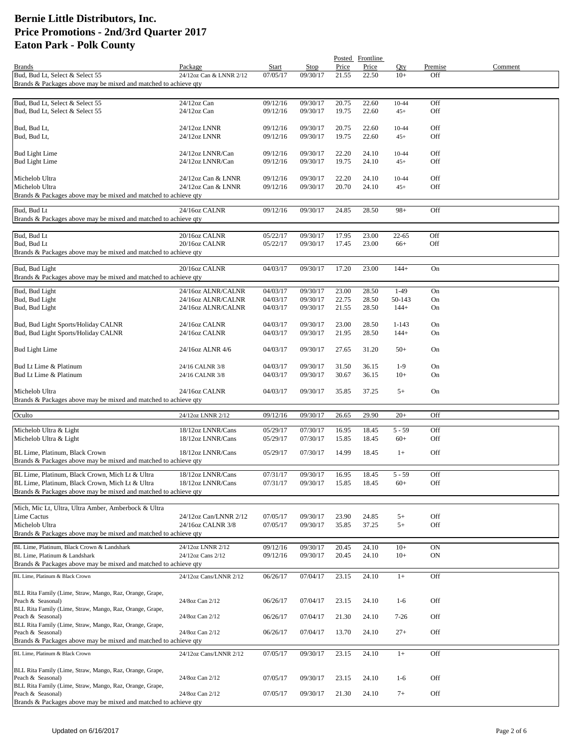|                                                                                   |                                            |                      |                      |                | Posted Frontline |                  |            |         |
|-----------------------------------------------------------------------------------|--------------------------------------------|----------------------|----------------------|----------------|------------------|------------------|------------|---------|
| <b>Brands</b>                                                                     | Package                                    | Start                | Stop                 | Price          | Price            | Qty              | Premise    | Comment |
| Bud, Bud Lt, Select & Select 55                                                   | 24/12oz Can & LNNR 2/12                    | 07/05/17             | 09/30/17             | 21.55          | 22.50            | $10+$            | Off        |         |
| Brands & Packages above may be mixed and matched to achieve qty                   |                                            |                      |                      |                |                  |                  |            |         |
| Bud, Bud Lt, Select & Select 55                                                   | 24/12oz Can                                | 09/12/16             | 09/30/17             | 20.75          | 22.60            | 10-44            | Off        |         |
| Bud, Bud Lt, Select & Select 55                                                   | 24/12oz Can                                | 09/12/16             | 09/30/17             | 19.75          | 22.60            | $45+$            | Off        |         |
|                                                                                   |                                            |                      |                      |                |                  |                  |            |         |
| Bud, Bud Lt,                                                                      | 24/12oz LNNR                               | 09/12/16             | 09/30/17             | 20.75          | 22.60            | $10 - 44$        | Off        |         |
| Bud, Bud Lt,                                                                      | 24/12oz LNNR                               | 09/12/16             | 09/30/17             | 19.75          | 22.60            | $45+$            | Off        |         |
| <b>Bud Light Lime</b>                                                             | 24/12oz LNNR/Can                           | 09/12/16             | 09/30/17             | 22.20          | 24.10            | $10 - 44$        | Off        |         |
| <b>Bud Light Lime</b>                                                             | 24/12oz LNNR/Can                           | 09/12/16             | 09/30/17             | 19.75          | 24.10            | $45+$            | Off        |         |
|                                                                                   |                                            |                      |                      |                |                  |                  |            |         |
| Michelob Ultra                                                                    | 24/12oz Can & LNNR                         | 09/12/16             | 09/30/17             | 22.20          | 24.10            | $10 - 44$        | Off        |         |
| Michelob Ultra<br>Brands & Packages above may be mixed and matched to achieve qty | 24/12oz Can & LNNR                         | 09/12/16             | 09/30/17             | 20.70          | 24.10            | $45+$            | Off        |         |
|                                                                                   |                                            |                      |                      |                |                  |                  |            |         |
| Bud, Bud Lt                                                                       | 24/16oz CALNR                              | 09/12/16             | 09/30/17             | 24.85          | 28.50            | $98+$            | Off        |         |
| Brands & Packages above may be mixed and matched to achieve qty                   |                                            |                      |                      |                |                  |                  |            |         |
| Bud, Bud Lt                                                                       | 20/16oz CALNR                              | 05/22/17             | 09/30/17             | 17.95          | 23.00            | $22 - 65$        | Off        |         |
| Bud, Bud Lt                                                                       | 20/16oz CALNR                              | 05/22/17             | 09/30/17             | 17.45          | 23.00            | $66+$            | Off        |         |
| Brands & Packages above may be mixed and matched to achieve qty                   |                                            |                      |                      |                |                  |                  |            |         |
|                                                                                   | 20/16oz CALNR                              |                      |                      | 17.20          | 23.00            | $144+$           |            |         |
| Bud, Bud Light<br>Brands & Packages above may be mixed and matched to achieve qty |                                            | 04/03/17             | 09/30/17             |                |                  |                  | On         |         |
|                                                                                   |                                            |                      |                      |                |                  |                  |            |         |
| Bud, Bud Light                                                                    | 24/16oz ALNR/CALNR                         | 04/03/17             | 09/30/17             | 23.00          | 28.50            | $1-49$           | On         |         |
| Bud, Bud Light<br>Bud, Bud Light                                                  | 24/16oz ALNR/CALNR<br>24/16oz ALNR/CALNR   | 04/03/17<br>04/03/17 | 09/30/17<br>09/30/17 | 22.75<br>21.55 | 28.50<br>28.50   | 50-143<br>$144+$ | On<br>On   |         |
|                                                                                   |                                            |                      |                      |                |                  |                  |            |         |
| Bud, Bud Light Sports/Holiday CALNR                                               | 24/16oz CALNR                              | 04/03/17             | 09/30/17             | 23.00          | 28.50            | $1 - 143$        | On         |         |
| Bud, Bud Light Sports/Holiday CALNR                                               | 24/16oz CALNR                              | 04/03/17             | 09/30/17             | 21.95          | 28.50            | $144+$           | On         |         |
|                                                                                   | 24/16oz ALNR 4/6                           | 04/03/17             | 09/30/17             | 27.65          | 31.20            | $50+$            | On         |         |
| <b>Bud Light Lime</b>                                                             |                                            |                      |                      |                |                  |                  |            |         |
| Bud Lt Lime & Platinum                                                            | 24/16 CALNR 3/8                            | 04/03/17             | 09/30/17             | 31.50          | 36.15            | $1-9$            | On         |         |
| Bud Lt Lime & Platinum                                                            | 24/16 CALNR 3/8                            | 04/03/17             | 09/30/17             | 30.67          | 36.15            | $10+$            | On         |         |
| Michelob Ultra                                                                    | 24/16oz CALNR                              | 04/03/17             | 09/30/17             | 35.85          | 37.25            | $5+$             | On         |         |
| Brands & Packages above may be mixed and matched to achieve qty                   |                                            |                      |                      |                |                  |                  |            |         |
|                                                                                   |                                            |                      |                      |                |                  |                  |            |         |
| Oculto                                                                            | 24/12oz LNNR 2/12                          | 09/12/16             | 09/30/17             | 26.65          | 29.90            | $20+$            | Off        |         |
| Michelob Ultra & Light                                                            | 18/12oz LNNR/Cans                          | 05/29/17             | 07/30/17             | 16.95          | 18.45            | $5 - 59$         | Off        |         |
| Michelob Ultra & Light                                                            | 18/12oz LNNR/Cans                          | 05/29/17             | 07/30/17             | 15.85          | 18.45            | $60+$            | Off        |         |
| BL Lime, Platinum, Black Crown                                                    | 18/12oz LNNR/Cans                          | 05/29/17             | 07/30/17             | 14.99          | 18.45            | $1+$             | Off        |         |
| Brands & Packages above may be mixed and matched to achieve qty                   |                                            |                      |                      |                |                  |                  |            |         |
| BL Lime, Platinum, Black Crown, Mich Lt & Ultra                                   | 18/12oz LNNR/Cans                          | 07/31/17             | 09/30/17             | 16.95          | 18.45            | $5 - 59$         | Off        |         |
| BL Lime, Platinum, Black Crown, Mich Lt & Ultra                                   | 18/12oz LNNR/Cans                          | 07/31/17             | 09/30/17             | 15.85          | 18.45            | $60+$            | Off        |         |
| Brands & Packages above may be mixed and matched to achieve qty                   |                                            |                      |                      |                |                  |                  |            |         |
|                                                                                   |                                            |                      |                      |                |                  |                  |            |         |
| Mich, Mic Lt, Ultra, Ultra Amber, Amberbock & Ultra                               |                                            |                      |                      |                |                  |                  |            |         |
| Lime Cactus<br>Michelob Ultra                                                     | 24/12oz Can/LNNR 2/12<br>24/16oz CALNR 3/8 | 07/05/17<br>07/05/17 | 09/30/17<br>09/30/17 | 23.90<br>35.85 | 24.85<br>37.25   | $5+$<br>$5+$     | Off<br>Off |         |
| Brands & Packages above may be mixed and matched to achieve qty                   |                                            |                      |                      |                |                  |                  |            |         |
| BL Lime, Platinum, Black Crown & Landshark                                        |                                            |                      |                      |                |                  |                  |            |         |
| BL Lime, Platinum & Landshark                                                     | 24/12oz LNNR 2/12<br>24/12oz Cans 2/12     | 09/12/16<br>09/12/16 | 09/30/17<br>09/30/17 | 20.45<br>20.45 | 24.10<br>24.10   | $10+$<br>$10+$   | ON<br>ON   |         |
| Brands & Packages above may be mixed and matched to achieve qty                   |                                            |                      |                      |                |                  |                  |            |         |
| BL Lime, Platinum & Black Crown                                                   | 24/12oz Cans/LNNR 2/12                     | 06/26/17             | 07/04/17             | 23.15          | 24.10            | $1+$             | Off        |         |
|                                                                                   |                                            |                      |                      |                |                  |                  |            |         |
| BLL Rita Family (Lime, Straw, Mango, Raz, Orange, Grape,                          |                                            |                      |                      |                |                  |                  |            |         |
| Peach & Seasonal)                                                                 | 24/8oz Can 2/12                            | 06/26/17             | 07/04/17             | 23.15          | 24.10            | $1-6$            | Off        |         |
| BLL Rita Family (Lime, Straw, Mango, Raz, Orange, Grape,<br>Peach & Seasonal)     | 24/8oz Can 2/12                            | 06/26/17             | 07/04/17             | 21.30          | 24.10            | $7-26$           | Off        |         |
| BLL Rita Family (Lime, Straw, Mango, Raz, Orange, Grape,                          |                                            |                      |                      |                |                  |                  |            |         |
| Peach & Seasonal)                                                                 | 24/8oz Can 2/12                            | 06/26/17             | 07/04/17             | 13.70          | 24.10            | $27+$            | Off        |         |
| Brands & Packages above may be mixed and matched to achieve qty                   |                                            |                      |                      |                |                  |                  |            |         |
| BL Lime, Platinum & Black Crown                                                   | 24/12oz Cans/LNNR 2/12                     | 07/05/17             | 09/30/17             | 23.15          | 24.10            | $1+$             | Off        |         |
| BLL Rita Family (Lime, Straw, Mango, Raz, Orange, Grape,                          |                                            |                      |                      |                |                  |                  |            |         |
| Peach & Seasonal)                                                                 | 24/8oz Can 2/12                            | 07/05/17             | 09/30/17             | 23.15          | 24.10            | $1-6$            | Off        |         |
| BLL Rita Family (Lime, Straw, Mango, Raz, Orange, Grape,                          |                                            |                      |                      |                |                  |                  |            |         |
| Peach & Seasonal)                                                                 | 24/8oz Can 2/12                            | 07/05/17             | 09/30/17             | 21.30          | 24.10            | $7+$             | Off        |         |
| Brands & Packages above may be mixed and matched to achieve qty                   |                                            |                      |                      |                |                  |                  |            |         |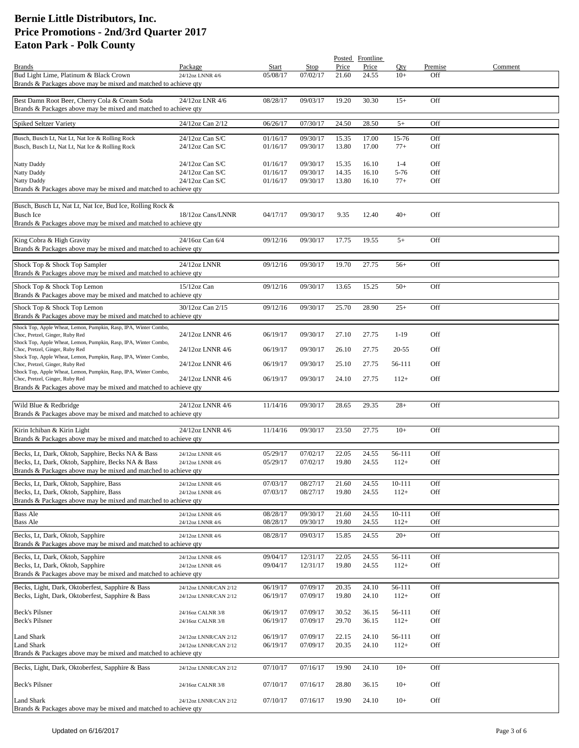|                                                                                                                  |                                      |                      |                      |                | Posted Frontline |                  |            |         |
|------------------------------------------------------------------------------------------------------------------|--------------------------------------|----------------------|----------------------|----------------|------------------|------------------|------------|---------|
| <b>Brands</b>                                                                                                    | Package                              | Start                | Stop                 | Price          | Price            | Oty              | Premise    | Comment |
| Bud Light Lime, Platinum & Black Crown                                                                           | 24/12oz LNNR 4/6                     | 05/08/17             | 07/02/17             | 21.60          | 24.55            | $10+$            | Off        |         |
| Brands & Packages above may be mixed and matched to achieve qty                                                  |                                      |                      |                      |                |                  |                  |            |         |
|                                                                                                                  | 24/12oz LNR 4/6                      |                      |                      | 19.20          | 30.30            | $15+$            | Off        |         |
| Best Damn Root Beer, Cherry Cola & Cream Soda<br>Brands & Packages above may be mixed and matched to achieve gty |                                      | 08/28/17             | 09/03/17             |                |                  |                  |            |         |
|                                                                                                                  |                                      |                      |                      |                |                  |                  |            |         |
| Spiked Seltzer Variety                                                                                           | 24/12oz Can 2/12                     | 06/26/17             | 07/30/17             | 24.50          | 28.50            | $5+$             | Off        |         |
| Busch, Busch Lt, Nat Lt, Nat Ice & Rolling Rock                                                                  | 24/12oz Can S/C                      | 01/16/17             | 09/30/17             | 15.35          | 17.00            | 15-76            | Off        |         |
| Busch, Busch Lt, Nat Lt, Nat Ice & Rolling Rock                                                                  | 24/12oz Can S/C                      | 01/16/17             | 09/30/17             | 13.80          | 17.00            | $77+$            | Off        |         |
|                                                                                                                  |                                      |                      |                      |                |                  |                  |            |         |
| <b>Natty Daddy</b>                                                                                               | $24/12$ oz Can S/C                   | 01/16/17             | 09/30/17             | 15.35          | 16.10            | $1 - 4$          | Off        |         |
| Natty Daddy                                                                                                      | 24/12oz Can S/C                      | 01/16/17             | 09/30/17             | 14.35          | 16.10            | $5-76$           | Off        |         |
| Natty Daddy                                                                                                      | 24/12oz Can S/C                      | 01/16/17             | 09/30/17             | 13.80          | 16.10            | $77+$            | Off        |         |
| Brands & Packages above may be mixed and matched to achieve qty                                                  |                                      |                      |                      |                |                  |                  |            |         |
|                                                                                                                  |                                      |                      |                      |                |                  |                  |            |         |
| Busch, Busch Lt, Nat Lt, Nat Ice, Bud Ice, Rolling Rock &                                                        |                                      |                      |                      |                |                  |                  |            |         |
| <b>Busch Ice</b>                                                                                                 | 18/12oz Cans/LNNR                    | 04/17/17             | 09/30/17             | 9.35           | 12.40            | $40+$            | Off        |         |
| Brands & Packages above may be mixed and matched to achieve qty                                                  |                                      |                      |                      |                |                  |                  |            |         |
| King Cobra & High Gravity                                                                                        | 24/16oz Can 6/4                      | 09/12/16             | 09/30/17             | 17.75          | 19.55            | $5+$             | Off        |         |
| Brands & Packages above may be mixed and matched to achieve qty                                                  |                                      |                      |                      |                |                  |                  |            |         |
|                                                                                                                  |                                      |                      |                      |                |                  |                  |            |         |
| Shock Top & Shock Top Sampler                                                                                    | 24/12oz LNNR                         | 09/12/16             | 09/30/17             | 19.70          | 27.75            | $56+$            | Off        |         |
| Brands & Packages above may be mixed and matched to achieve qty                                                  |                                      |                      |                      |                |                  |                  |            |         |
| Shock Top & Shock Top Lemon                                                                                      | $15/12$ oz Can                       | 09/12/16             | 09/30/17             | 13.65          | 15.25            | $50+$            | Off        |         |
| Brands & Packages above may be mixed and matched to achieve qty                                                  |                                      |                      |                      |                |                  |                  |            |         |
|                                                                                                                  |                                      |                      |                      |                |                  |                  |            |         |
| Shock Top & Shock Top Lemon                                                                                      | 30/12oz Can 2/15                     | 09/12/16             | 09/30/17             | 25.70          | 28.90            | $25+$            | Off        |         |
| Brands & Packages above may be mixed and matched to achieve qty                                                  |                                      |                      |                      |                |                  |                  |            |         |
| Shock Top, Apple Wheat, Lemon, Pumpkin, Rasp, IPA, Winter Combo,                                                 | 24/12oz LNNR 4/6                     |                      | 09/30/17             | 27.10          | 27.75            | $1-19$           | Off        |         |
| Choc, Pretzel, Ginger, Ruby Red<br>Shock Top, Apple Wheat, Lemon, Pumpkin, Rasp, IPA, Winter Combo,              |                                      | 06/19/17             |                      |                |                  |                  |            |         |
| Choc, Pretzel, Ginger, Ruby Red                                                                                  | 24/12oz LNNR 4/6                     | 06/19/17             | 09/30/17             | 26.10          | 27.75            | 20-55            | Off        |         |
| Shock Top, Apple Wheat, Lemon, Pumpkin, Rasp, IPA, Winter Combo,                                                 |                                      |                      |                      |                |                  |                  |            |         |
| Choc, Pretzel, Ginger, Ruby Red                                                                                  | 24/12oz LNNR 4/6                     | 06/19/17             | 09/30/17             | 25.10          | 27.75            | 56-111           | Off        |         |
| Shock Top, Apple Wheat, Lemon, Pumpkin, Rasp, IPA, Winter Combo,<br>Choc, Pretzel, Ginger, Ruby Red              | 24/12oz LNNR 4/6                     | 06/19/17             | 09/30/17             | 24.10          | 27.75            | $112+$           | Off        |         |
| Brands & Packages above may be mixed and matched to achieve qty                                                  |                                      |                      |                      |                |                  |                  |            |         |
|                                                                                                                  |                                      |                      |                      |                |                  |                  |            |         |
| Wild Blue & Redbridge                                                                                            | 24/12oz LNNR 4/6                     | 11/14/16             | 09/30/17             | 28.65          | 29.35            | $28+$            | Off        |         |
| Brands & Packages above may be mixed and matched to achieve qty                                                  |                                      |                      |                      |                |                  |                  |            |         |
|                                                                                                                  |                                      |                      |                      |                |                  |                  |            |         |
| Kirin Ichiban & Kirin Light                                                                                      | 24/12oz LNNR 4/6                     | 11/14/16             | 09/30/17             | 23.50          | 27.75            | $10+$            | Off        |         |
| Brands & Packages above may be mixed and matched to achieve qty                                                  |                                      |                      |                      |                |                  |                  |            |         |
| Becks, Lt, Dark, Oktob, Sapphire, Becks NA & Bass                                                                | 24/12oz LNNR 4/6                     | 05/29/17             | 07/02/17             | 22.05          | 24.55            | 56-111           | Off        |         |
| Becks, Lt, Dark, Oktob, Sapphire, Becks NA & Bass                                                                | 24/12oz LNNR 4/6                     | 05/29/17             | 07/02/17             | 19.80          | 24.55            | $112+$           | Off        |         |
| Brands & Packages above may be mixed and matched to achieve qty                                                  |                                      |                      |                      |                |                  |                  |            |         |
| Becks, Lt, Dark, Oktob, Sapphire, Bass                                                                           |                                      |                      |                      |                |                  |                  |            |         |
| Becks, Lt, Dark, Oktob, Sapphire, Bass                                                                           | 24/12oz LNNR 4/6<br>24/12oz LNNR 4/6 | 07/03/17<br>07/03/17 | 08/27/17<br>08/27/17 | 21.60<br>19.80 | 24.55<br>24.55   | 10-111<br>$112+$ | Off<br>Off |         |
| Brands & Packages above may be mixed and matched to achieve qty                                                  |                                      |                      |                      |                |                  |                  |            |         |
|                                                                                                                  |                                      |                      |                      |                |                  |                  |            |         |
| <b>Bass Ale</b>                                                                                                  | 24/12oz LNNR 4/6                     | 08/28/17             | 09/30/17             | 21.60          | 24.55            | 10-111           | Off        |         |
| <b>Bass Ale</b>                                                                                                  | 24/12oz LNNR 4/6                     | 08/28/17             | 09/30/17             | 19.80          | 24.55            | $112+$           | Off        |         |
| Becks, Lt, Dark, Oktob, Sapphire                                                                                 | 24/12oz LNNR 4/6                     | 08/28/17             | 09/03/17             | 15.85          | 24.55            | $20+$            | Off        |         |
| Brands & Packages above may be mixed and matched to achieve qty                                                  |                                      |                      |                      |                |                  |                  |            |         |
| Becks, Lt, Dark, Oktob, Sapphire                                                                                 | 24/12oz LNNR 4/6                     | 09/04/17             | 12/31/17             | 22.05          | 24.55            | 56-111           | Off        |         |
| Becks, Lt, Dark, Oktob, Sapphire                                                                                 | 24/12oz LNNR 4/6                     | 09/04/17             | 12/31/17             | 19.80          | 24.55            | $112+$           | Off        |         |
| Brands & Packages above may be mixed and matched to achieve qty                                                  |                                      |                      |                      |                |                  |                  |            |         |
| Becks, Light, Dark, Oktoberfest, Sapphire & Bass                                                                 | 24/12oz LNNR/CAN 2/12                | 06/19/17             | 07/09/17             | 20.35          | 24.10            | 56-111           | Off        |         |
| Becks, Light, Dark, Oktoberfest, Sapphire & Bass                                                                 | 24/12oz LNNR/CAN 2/12                | 06/19/17             | 07/09/17             | 19.80          | 24.10            | $112+$           | Off        |         |
|                                                                                                                  |                                      |                      |                      |                |                  |                  |            |         |
| Beck's Pilsner                                                                                                   | 24/16oz CALNR 3/8                    | 06/19/17             | 07/09/17             | 30.52          | 36.15            | 56-111           | Off        |         |
| Beck's Pilsner                                                                                                   | 24/16oz CALNR 3/8                    | 06/19/17             | 07/09/17             | 29.70          | 36.15            | $112+$           | Off        |         |
|                                                                                                                  |                                      |                      |                      |                |                  |                  |            |         |
| <b>Land Shark</b>                                                                                                | 24/12oz LNNR/CAN 2/12                | 06/19/17             | 07/09/17             | 22.15          | 24.10            | 56-111           | Off        |         |
| <b>Land Shark</b>                                                                                                | 24/12oz LNNR/CAN 2/12                | 06/19/17             | 07/09/17             | 20.35          | 24.10            | $112+$           | Off        |         |
| Brands & Packages above may be mixed and matched to achieve qty                                                  |                                      |                      |                      |                |                  |                  |            |         |
| Becks, Light, Dark, Oktoberfest, Sapphire & Bass                                                                 | 24/12oz LNNR/CAN 2/12                | 07/10/17             | 07/16/17             | 19.90          | 24.10            | $10+$            | Off        |         |
|                                                                                                                  |                                      |                      |                      |                |                  |                  |            |         |
| Beck's Pilsner                                                                                                   | 24/16oz CALNR 3/8                    | 07/10/17             | 07/16/17             | 28.80          | 36.15            | $10+$            | Off        |         |
|                                                                                                                  |                                      |                      |                      |                |                  |                  |            |         |
| <b>Land Shark</b><br>Brands & Packages above may be mixed and matched to achieve qty                             | 24/12oz LNNR/CAN 2/12                | 07/10/17             | 07/16/17             | 19.90          | 24.10            | $10+$            | Off        |         |
|                                                                                                                  |                                      |                      |                      |                |                  |                  |            |         |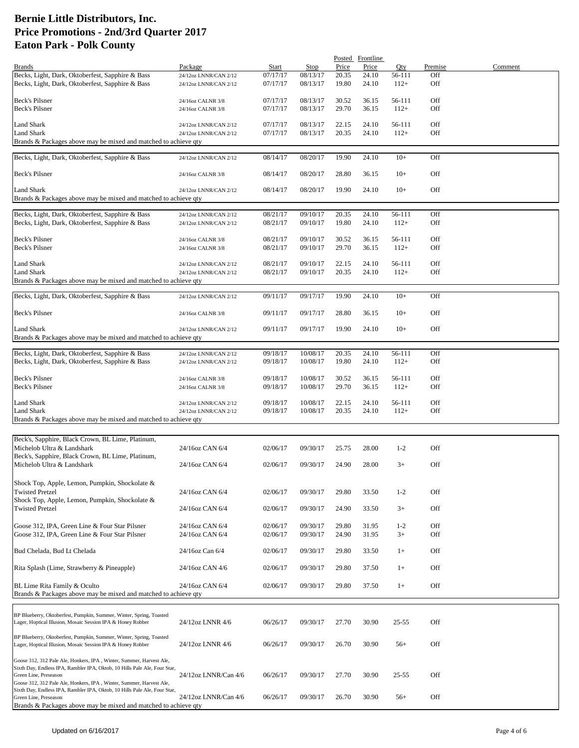|                                                                                                                                                  |                       |          |          |       | Posted Frontline |         |            |         |
|--------------------------------------------------------------------------------------------------------------------------------------------------|-----------------------|----------|----------|-------|------------------|---------|------------|---------|
| <b>Brands</b>                                                                                                                                    | Package               | Start    | Stop     | Price | Price            | Qty     | Premise    | Comment |
| Becks, Light, Dark, Oktoberfest, Sapphire & Bass                                                                                                 | 24/12oz LNNR/CAN 2/12 | 07/17/17 | 08/13/17 | 20.35 | 24.10            | 56-111  | Off        |         |
| Becks, Light, Dark, Oktoberfest, Sapphire & Bass                                                                                                 | 24/12oz LNNR/CAN 2/12 | 07/17/17 | 08/13/17 | 19.80 | 24.10            | $112+$  | Off        |         |
|                                                                                                                                                  |                       |          |          |       |                  |         |            |         |
| Beck's Pilsner                                                                                                                                   | 24/16oz CALNR 3/8     | 07/17/17 | 08/13/17 | 30.52 | 36.15            | 56-111  | Off        |         |
| <b>Beck's Pilsner</b>                                                                                                                            | 24/16oz CALNR 3/8     | 07/17/17 | 08/13/17 | 29.70 | 36.15            | $112+$  | Off        |         |
|                                                                                                                                                  |                       |          |          |       |                  |         |            |         |
| Land Shark                                                                                                                                       | 24/12oz LNNR/CAN 2/12 | 07/17/17 | 08/13/17 | 22.15 | 24.10            | 56-111  | Off        |         |
| Land Shark                                                                                                                                       | 24/12oz LNNR/CAN 2/12 | 07/17/17 | 08/13/17 | 20.35 | 24.10            | $112+$  | Off        |         |
| Brands & Packages above may be mixed and matched to achieve qty                                                                                  |                       |          |          |       |                  |         |            |         |
| Becks, Light, Dark, Oktoberfest, Sapphire & Bass                                                                                                 | 24/12oz LNNR/CAN 2/12 | 08/14/17 | 08/20/17 | 19.90 | 24.10            | $10+$   | Off        |         |
|                                                                                                                                                  |                       |          |          |       |                  |         |            |         |
| Beck's Pilsner                                                                                                                                   | 24/16oz CALNR 3/8     | 08/14/17 | 08/20/17 | 28.80 | 36.15            | $10+$   | Off        |         |
|                                                                                                                                                  |                       |          |          |       |                  |         |            |         |
| <b>Land Shark</b>                                                                                                                                | 24/12oz LNNR/CAN 2/12 | 08/14/17 | 08/20/17 | 19.90 | 24.10            | $10+$   | Off        |         |
| Brands & Packages above may be mixed and matched to achieve qty                                                                                  |                       |          |          |       |                  |         |            |         |
|                                                                                                                                                  |                       |          |          |       |                  |         |            |         |
| Becks, Light, Dark, Oktoberfest, Sapphire & Bass                                                                                                 | 24/12oz LNNR/CAN 2/12 | 08/21/17 | 09/10/17 | 20.35 | 24.10            | 56-111  | Off        |         |
| Becks, Light, Dark, Oktoberfest, Sapphire & Bass                                                                                                 | 24/12oz LNNR/CAN 2/12 | 08/21/17 | 09/10/17 | 19.80 | 24.10            | $112+$  | Off        |         |
|                                                                                                                                                  |                       |          |          |       |                  |         |            |         |
| Beck's Pilsner                                                                                                                                   | 24/16oz CALNR 3/8     | 08/21/17 | 09/10/17 | 30.52 | 36.15            | 56-111  | Off        |         |
| Beck's Pilsner                                                                                                                                   | 24/16oz CALNR 3/8     | 08/21/17 | 09/10/17 | 29.70 | 36.15            | $112+$  | Off        |         |
|                                                                                                                                                  |                       |          |          |       |                  |         |            |         |
| <b>Land Shark</b>                                                                                                                                | 24/12oz LNNR/CAN 2/12 | 08/21/17 | 09/10/17 | 22.15 | 24.10            | 56-111  | Off        |         |
| <b>Land Shark</b>                                                                                                                                | 24/12oz LNNR/CAN 2/12 | 08/21/17 | 09/10/17 | 20.35 | 24.10            | $112+$  | Off        |         |
| Brands & Packages above may be mixed and matched to achieve qty                                                                                  |                       |          |          |       |                  |         |            |         |
|                                                                                                                                                  |                       |          |          |       |                  |         |            |         |
| Becks, Light, Dark, Oktoberfest, Sapphire & Bass                                                                                                 | 24/12oz LNNR/CAN 2/12 | 09/11/17 | 09/17/17 | 19.90 | 24.10            | $10+$   | Off        |         |
|                                                                                                                                                  |                       |          |          |       |                  |         |            |         |
| Beck's Pilsner                                                                                                                                   | 24/16oz CALNR 3/8     | 09/11/17 | 09/17/17 | 28.80 | 36.15            | $10+$   | Off        |         |
|                                                                                                                                                  |                       | 09/11/17 | 09/17/17 | 19.90 |                  | $10+$   |            |         |
| Land Shark                                                                                                                                       | 24/12oz LNNR/CAN 2/12 |          |          |       | 24.10            |         | Off        |         |
| Brands & Packages above may be mixed and matched to achieve qty                                                                                  |                       |          |          |       |                  |         |            |         |
| Becks, Light, Dark, Oktoberfest, Sapphire & Bass                                                                                                 | 24/12oz LNNR/CAN 2/12 | 09/18/17 | 10/08/17 | 20.35 | 24.10            | 56-111  | Off        |         |
| Becks, Light, Dark, Oktoberfest, Sapphire & Bass                                                                                                 | 24/12oz LNNR/CAN 2/12 | 09/18/17 | 10/08/17 | 19.80 | 24.10            | $112+$  | Off        |         |
|                                                                                                                                                  |                       |          |          |       |                  |         |            |         |
| Beck's Pilsner                                                                                                                                   | 24/16oz CALNR 3/8     | 09/18/17 | 10/08/17 | 30.52 | 36.15            | 56-111  | Off        |         |
| Beck's Pilsner                                                                                                                                   | 24/16oz CALNR 3/8     | 09/18/17 | 10/08/17 | 29.70 | 36.15            | $112+$  | <b>Off</b> |         |
|                                                                                                                                                  |                       |          |          |       |                  |         |            |         |
| Land Shark                                                                                                                                       | 24/12oz LNNR/CAN 2/12 | 09/18/17 | 10/08/17 | 22.15 | 24.10            | 56-111  | Off        |         |
| Land Shark                                                                                                                                       | 24/12oz LNNR/CAN 2/12 | 09/18/17 | 10/08/17 | 20.35 | 24.10            | $112+$  | <b>Off</b> |         |
| Brands & Packages above may be mixed and matched to achieve qty                                                                                  |                       |          |          |       |                  |         |            |         |
|                                                                                                                                                  |                       |          |          |       |                  |         |            |         |
| Beck's, Sapphire, Black Crown, BL Lime, Platinum,                                                                                                |                       |          |          |       |                  |         |            |         |
|                                                                                                                                                  |                       |          |          |       |                  |         |            |         |
| Michelob Ultra & Landshark<br>Beck's, Sapphire, Black Crown, BL Lime, Platinum,                                                                  | 24/16oz CAN 6/4       | 02/06/17 | 09/30/17 | 25.75 | 28.00            | $1-2$   | Off        |         |
| Michelob Ultra & Landshark                                                                                                                       |                       |          |          |       |                  |         | Off        |         |
|                                                                                                                                                  | 24/16oz CAN 6/4       | 02/06/17 | 09/30/17 | 24.90 | 28.00            | $3+$    |            |         |
|                                                                                                                                                  |                       |          |          |       |                  |         |            |         |
| Shock Top, Apple, Lemon, Pumpkin, Shockolate &                                                                                                   |                       |          |          |       |                  |         |            |         |
| <b>Twisted Pretzel</b>                                                                                                                           | 24/16oz CAN 6/4       | 02/06/17 | 09/30/17 | 29.80 | 33.50            | $1-2$   | Off        |         |
| Shock Top, Apple, Lemon, Pumpkin, Shockolate &                                                                                                   |                       |          |          |       |                  |         |            |         |
| <b>Twisted Pretzel</b>                                                                                                                           | 24/16oz CAN 6/4       | 02/06/17 | 09/30/17 | 24.90 | 33.50            | $3+$    | Off        |         |
|                                                                                                                                                  |                       |          |          |       |                  |         |            |         |
| Goose 312, IPA, Green Line & Four Star Pilsner                                                                                                   | 24/16oz CAN 6/4       | 02/06/17 | 09/30/17 | 29.80 | 31.95            | $1 - 2$ | Off        |         |
| Goose 312, IPA, Green Line & Four Star Pilsner                                                                                                   | 24/16oz CAN 6/4       | 02/06/17 | 09/30/17 | 24.90 | 31.95            | $3+$    | Off        |         |
|                                                                                                                                                  |                       |          |          |       |                  |         |            |         |
| Bud Chelada, Bud Lt Chelada                                                                                                                      | 24/16oz Can 6/4       | 02/06/17 | 09/30/17 | 29.80 | 33.50            | $1+$    | Off        |         |
|                                                                                                                                                  |                       |          |          |       |                  |         |            |         |
| Rita Splash (Lime, Strawberry & Pineapple)                                                                                                       | 24/16oz CAN 4/6       | 02/06/17 | 09/30/17 | 29.80 | 37.50            | $1+$    | Off        |         |
|                                                                                                                                                  |                       |          |          |       |                  |         |            |         |
| BL Lime Rita Family & Oculto                                                                                                                     | 24/16oz CAN 6/4       | 02/06/17 | 09/30/17 | 29.80 | 37.50            | $1+$    | Off        |         |
| Brands & Packages above may be mixed and matched to achieve qty                                                                                  |                       |          |          |       |                  |         |            |         |
|                                                                                                                                                  |                       |          |          |       |                  |         |            |         |
| BP Blueberry, Oktoberfest, Pumpkin, Summer, Winter, Spring, Toasted                                                                              |                       |          |          |       |                  |         |            |         |
| Lager, Hoptical Illusion, Mosaic Session IPA & Honey Robber                                                                                      | 24/12oz LNNR 4/6      | 06/26/17 | 09/30/17 | 27.70 | 30.90            | 25-55   | Off        |         |
|                                                                                                                                                  |                       |          |          |       |                  |         |            |         |
| BP Blueberry, Oktoberfest, Pumpkin, Summer, Winter, Spring, Toasted                                                                              |                       |          |          |       |                  |         |            |         |
| Lager, Hoptical Illusion, Mosaic Session IPA & Honey Robber                                                                                      | 24/12oz LNNR 4/6      | 06/26/17 | 09/30/17 | 26.70 | 30.90            | $56+$   | Off        |         |
|                                                                                                                                                  |                       |          |          |       |                  |         |            |         |
| Goose 312, 312 Pale Ale, Honkers, IPA, Winter, Summer, Harvest Ale,<br>Sixth Day, Endless IPA, Rambler IPA, Oktob, 10 Hills Pale Ale, Four Star, |                       |          |          |       |                  |         |            |         |
| Green Line, Preseason                                                                                                                            | 24/12oz LNNR/Can 4/6  | 06/26/17 | 09/30/17 | 27.70 | 30.90            | 25-55   | Off        |         |
| Goose 312, 312 Pale Ale, Honkers, IPA, Winter, Summer, Harvest Ale,                                                                              |                       |          |          |       |                  |         |            |         |
| Sixth Day, Endless IPA, Rambler IPA, Oktob, 10 Hills Pale Ale, Four Star,                                                                        |                       |          |          |       |                  |         |            |         |
| Green Line, Preseason                                                                                                                            | 24/12oz LNNR/Can 4/6  | 06/26/17 | 09/30/17 | 26.70 | 30.90            | $56+$   | Off        |         |
| Brands & Packages above may be mixed and matched to achieve qty                                                                                  |                       |          |          |       |                  |         |            |         |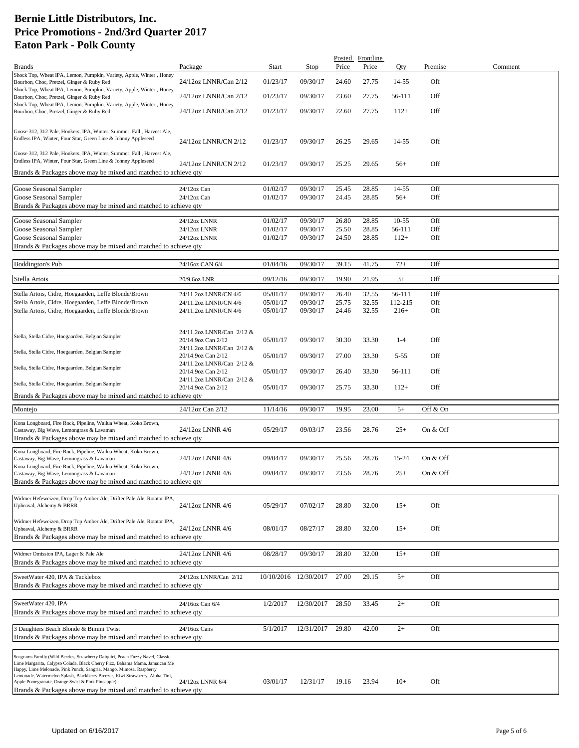|                                                                                                                                                               |                                                 |          |                       |       | Posted Frontline |           |          |         |
|---------------------------------------------------------------------------------------------------------------------------------------------------------------|-------------------------------------------------|----------|-----------------------|-------|------------------|-----------|----------|---------|
| <b>Brands</b>                                                                                                                                                 | Package                                         | Start    | Stop                  | Price | Price            | Qty       | Premise  | Comment |
| Shock Top, Wheat IPA, Lemon, Pumpkin, Variety, Apple, Winter, Honey<br>Bourbon, Choc, Pretzel, Ginger & Ruby Red                                              | 24/12oz LNNR/Can 2/12                           | 01/23/17 | 09/30/17              | 24.60 | 27.75            | $14 - 55$ | Off      |         |
| Shock Top, Wheat IPA, Lemon, Pumpkin, Variety, Apple, Winter, Honey<br>Bourbon, Choc, Pretzel, Ginger & Ruby Red                                              | 24/12oz LNNR/Can 2/12                           | 01/23/17 | 09/30/17              | 23.60 | 27.75            | 56-111    | Off      |         |
| Shock Top, Wheat IPA, Lemon, Pumpkin, Variety, Apple, Winter, Honey<br>Bourbon, Choc, Pretzel, Ginger & Ruby Red                                              | 24/12oz LNNR/Can 2/12                           | 01/23/17 | 09/30/17              | 22.60 | 27.75            | $112+$    | Off      |         |
|                                                                                                                                                               |                                                 |          |                       |       |                  |           |          |         |
| Goose 312, 312 Pale, Honkers, IPA, Winter, Summer, Fall, Harvest Ale,<br>Endless IPA, Winter, Four Star, Green Line & Johnny Appleseed                        |                                                 |          |                       |       |                  |           |          |         |
| Goose 312, 312 Pale, Honkers, IPA, Winter, Summer, Fall, Harvest Ale,                                                                                         | 24/12oz LNNR/CN 2/12                            | 01/23/17 | 09/30/17              | 26.25 | 29.65            | 14-55     | Off      |         |
| Endless IPA, Winter, Four Star, Green Line & Johnny Appleseed                                                                                                 | 24/12oz LNNR/CN 2/12                            | 01/23/17 | 09/30/17              | 25.25 | 29.65            | $56+$     | Off      |         |
| Brands & Packages above may be mixed and matched to achieve qty                                                                                               |                                                 |          |                       |       |                  |           |          |         |
| Goose Seasonal Sampler                                                                                                                                        | 24/12oz Can                                     | 01/02/17 | 09/30/17              | 25.45 | 28.85            | 14-55     | Off      |         |
| Goose Seasonal Sampler                                                                                                                                        | 24/12oz Can                                     | 01/02/17 | 09/30/17              | 24.45 | 28.85            | $56+$     | Off      |         |
| Brands & Packages above may be mixed and matched to achieve qty                                                                                               |                                                 |          |                       |       |                  |           |          |         |
| Goose Seasonal Sampler                                                                                                                                        | 24/12oz LNNR                                    | 01/02/17 | 09/30/17              | 26.80 | 28.85            | $10-55$   | Off      |         |
| Goose Seasonal Sampler                                                                                                                                        | 24/12oz LNNR                                    | 01/02/17 | 09/30/17              | 25.50 | 28.85            | 56-111    | Off      |         |
| Goose Seasonal Sampler                                                                                                                                        | 24/12oz LNNR                                    | 01/02/17 | 09/30/17              | 24.50 | 28.85            | $112+$    | Off      |         |
| Brands & Packages above may be mixed and matched to achieve qty                                                                                               |                                                 |          |                       |       |                  |           |          |         |
|                                                                                                                                                               |                                                 |          |                       |       |                  |           |          |         |
| <b>Boddington's Pub</b>                                                                                                                                       | 24/16oz CAN 6/4                                 | 01/04/16 | 09/30/17              | 39.15 | 41.75            | $72+$     | Off      |         |
| Stella Artois                                                                                                                                                 | 20/9.6oz LNR                                    | 09/12/16 | 09/30/17              | 19.90 | 21.95            | $3+$      | Off      |         |
| Stella Artois, Cidre, Hoegaarden, Leffe Blonde/Brown                                                                                                          | 24/11.2oz LNNR/CN 4/6                           | 05/01/17 | 09/30/17              | 26.40 | 32.55            | 56-111    | Off      |         |
| Stella Artois, Cidre, Hoegaarden, Leffe Blonde/Brown                                                                                                          | 24/11.2oz LNNR/CN 4/6                           | 05/01/17 | 09/30/17              | 25.75 | 32.55            | 112-215   | Off      |         |
| Stella Artois, Cidre, Hoegaarden, Leffe Blonde/Brown                                                                                                          | 24/11.2oz LNNR/CN 4/6                           | 05/01/17 | 09/30/17              | 24.46 | 32.55            | $216+$    | Off      |         |
|                                                                                                                                                               |                                                 |          |                       |       |                  |           |          |         |
| Stella, Stella Cidre, Hoegaarden, Belgian Sampler                                                                                                             | 24/11.2oz LNNR/Can 2/12 &                       |          |                       |       |                  |           |          |         |
|                                                                                                                                                               | 20/14.9oz Can 2/12<br>24/11.2oz LNNR/Can 2/12 & | 05/01/17 | 09/30/17              | 30.30 | 33.30            | $1 - 4$   | Off      |         |
| Stella, Stella Cidre, Hoegaarden, Belgian Sampler                                                                                                             | 20/14.9oz Can 2/12                              | 05/01/17 | 09/30/17              | 27.00 | 33.30            | $5 - 55$  | Off      |         |
| Stella, Stella Cidre, Hoegaarden, Belgian Sampler                                                                                                             | 24/11.2oz LNNR/Can 2/12 &<br>20/14.9oz Can 2/12 | 05/01/17 | 09/30/17              | 26.40 | 33.30            | 56-111    | Off      |         |
| Stella, Stella Cidre, Hoegaarden, Belgian Sampler                                                                                                             | 24/11.2oz LNNR/Can 2/12 &<br>20/14.9oz Can 2/12 | 05/01/17 | 09/30/17              | 25.75 | 33.30            | $112+$    | Off      |         |
| Brands & Packages above may be mixed and matched to achieve qty                                                                                               |                                                 |          |                       |       |                  |           |          |         |
| Montejo                                                                                                                                                       | 24/12oz Can 2/12                                | 11/14/16 | 09/30/17              | 19.95 | 23.00            | $5+$      | Off & On |         |
| Kona Longboard, Fire Rock, Pipeline, Wailua Wheat, Koko Brown,                                                                                                |                                                 |          |                       |       |                  |           |          |         |
| Castaway, Big Wave, Lemongrass & Lavaman                                                                                                                      | 24/12oz LNNR 4/6                                | 05/29/17 | 09/03/17              | 23.56 | 28.76            | $25+$     | On & Off |         |
| Brands & Packages above may be mixed and matched to achieve qty                                                                                               |                                                 |          |                       |       |                  |           |          |         |
| Kona Longboard, Fire Rock, Pipeline, Wailua Wheat, Koko Brown,                                                                                                |                                                 |          |                       |       |                  |           |          |         |
| Castaway, Big Wave, Lemongrass & Lavaman                                                                                                                      | 24/12oz LNNR 4/6                                | 09/04/17 | 09/30/17              | 25.56 | 28.76            | 15-24     | On & Off |         |
| Kona Longboard, Fire Rock, Pipeline, Wailua Wheat, Koko Brown,                                                                                                |                                                 |          |                       |       |                  |           |          |         |
| Castaway, Big Wave, Lemongrass & Lavaman<br>Brands & Packages above may be mixed and matched to achieve qty                                                   | 24/12oz LNNR 4/6                                | 09/04/17 | 09/30/17              | 23.56 | 28.76            | $25+$     | On & Off |         |
|                                                                                                                                                               |                                                 |          |                       |       |                  |           |          |         |
| Widmer Hefeweizen, Drop Top Amber Ale, Drifter Pale Ale, Rotator IPA,                                                                                         |                                                 |          |                       |       |                  |           |          |         |
| Upheaval, Alchemy & BRRR                                                                                                                                      | 24/12oz LNNR 4/6                                | 05/29/17 | 07/02/17              | 28.80 | 32.00            | $15+$     | Off      |         |
| Widmer Hefeweizen, Drop Top Amber Ale, Drifter Pale Ale, Rotator IPA,                                                                                         |                                                 |          |                       |       |                  |           |          |         |
| Upheaval, Alchemy & BRRR                                                                                                                                      | 24/12oz LNNR 4/6                                | 08/01/17 | 08/27/17              | 28.80 | 32.00            | $15+$     | Off      |         |
| Brands & Packages above may be mixed and matched to achieve qty                                                                                               |                                                 |          |                       |       |                  |           |          |         |
|                                                                                                                                                               |                                                 |          |                       |       |                  |           |          |         |
| Widmer Omission IPA, Lager & Pale Ale                                                                                                                         | 24/12oz LNNR 4/6                                | 08/28/17 | 09/30/17              | 28.80 | 32.00            | $15+$     | Off      |         |
| Brands & Packages above may be mixed and matched to achieve qty                                                                                               |                                                 |          |                       |       |                  |           |          |         |
| SweetWater 420, IPA & Tacklebox                                                                                                                               | 24/12oz LNNR/Can 2/12                           |          | 10/10/2016 12/30/2017 | 27.00 | 29.15            | $5+$      | Off      |         |
| Brands & Packages above may be mixed and matched to achieve qty                                                                                               |                                                 |          |                       |       |                  |           |          |         |
|                                                                                                                                                               |                                                 |          |                       |       |                  |           |          |         |
| SweetWater 420, IPA                                                                                                                                           | 24/16oz Can 6/4                                 | 1/2/2017 | 12/30/2017            | 28.50 | 33.45            | $2+$      | Off      |         |
| Brands & Packages above may be mixed and matched to achieve qty                                                                                               |                                                 |          |                       |       |                  |           |          |         |
| 3 Daughters Beach Blonde & Bimini Twist                                                                                                                       | 24/16oz Cans                                    | 5/1/2017 | 12/31/2017            | 29.80 | 42.00            | $2+$      | Off      |         |
| Brands & Packages above may be mixed and matched to achieve qty                                                                                               |                                                 |          |                       |       |                  |           |          |         |
|                                                                                                                                                               |                                                 |          |                       |       |                  |           |          |         |
| Seagrams Family (Wild Berries, Strawberry Daiquiri, Peach Fuzzy Navel, Classic<br>Lime Margarita, Calypso Colada, Black Cherry Fizz, Bahama Mama, Jamaican Me |                                                 |          |                       |       |                  |           |          |         |
| Happy, Lime Melonade, Pink Punch, Sangria, Mango, Mimosa, Raspberry                                                                                           |                                                 |          |                       |       |                  |           |          |         |
| Lemonade, Watermelon Splash, Blackberry Breezer, Kiwi Strawberry, Aloha Tini,<br>Apple Pomegranate, Orange Swirl & Pink Pineapple)                            | 24/12oz LNNR 6/4                                | 03/01/17 | 12/31/17              | 19.16 | 23.94            | $10+$     | Off      |         |
| Brands & Packages above may be mixed and matched to achieve qty                                                                                               |                                                 |          |                       |       |                  |           |          |         |
|                                                                                                                                                               |                                                 |          |                       |       |                  |           |          |         |